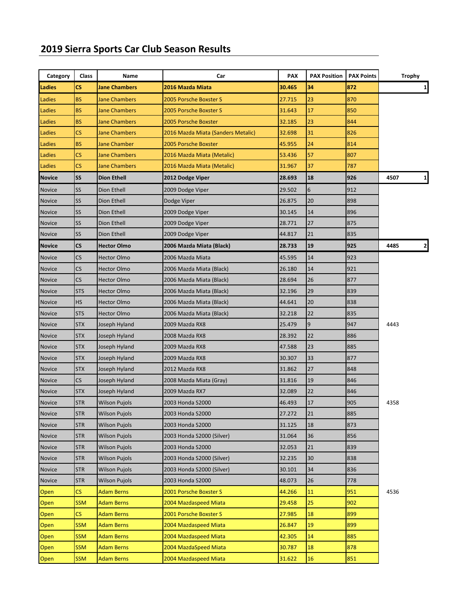## **2019 Sierra Sports Car Club Season Results**

| Category      | Class                    | Name                 | Car                                | <b>PAX</b> | <b>PAX Position</b> | <b>PAX Points</b> | Trophy    |
|---------------|--------------------------|----------------------|------------------------------------|------------|---------------------|-------------------|-----------|
| Ladies        | CS.                      | <b>Jane Chambers</b> | 2016 Mazda Miata                   | 30.465     | 34                  | 872               | 1         |
| Ladies        | <b>BS</b>                | <b>Jane Chambers</b> | 2005 Porsche Boxster S             | 27.715     | 23                  | 870               |           |
| Ladies        | <b>BS</b>                | <b>Jane Chambers</b> | 2005 Porsche Boxster S             | 31.643     | 17                  | 850               |           |
| Ladies        | <b>BS</b>                | <b>Jane Chambers</b> | 2005 Porsche Boxster               | 32.185     | 23                  | 844               |           |
| Ladies        | CS.                      | <b>Jane Chambers</b> | 2016 Mazda Miata (Sanders Metalic) | 32.698     | 31                  | 826               |           |
| Ladies        | <b>BS</b>                | <b>Jane Chamber</b>  | 2005 Porsche Boxster               | 45.955     | 24                  | 814               |           |
| Ladies        | $\mathsf{CS}\phantom{0}$ | <b>Jane Chambers</b> | 2016 Mazda Miata (Metalic)         | 53.436     | 57                  | 807               |           |
| Ladies        | $\mathsf{CS}\phantom{0}$ | <b>Jane Chambers</b> | 2016 Mazda Miata (Metalic)         | 31.967     | 37                  | 787               |           |
| <b>Novice</b> | SS                       | <b>Dion Ethell</b>   | 2012 Dodge Viper                   | 28.693     | 18                  | 926               | 4507<br>1 |
| <b>Novice</b> | SS                       | Dion Ethell          | 2009 Dodge Viper                   | 29.502     | 6                   | 912               |           |
| <b>Novice</b> | SS                       | Dion Ethell          | Dodge Viper                        | 26.875     | 20                  | 898               |           |
| <b>Novice</b> | SS                       | Dion Ethell          | 2009 Dodge Viper                   | 30.145     | 14                  | 896               |           |
| <b>Novice</b> | SS                       | Dion Ethell          | 2009 Dodge Viper                   | 28.771     | 27                  | 875               |           |
| <b>Novice</b> | SS                       | Dion Ethell          | 2009 Dodge Viper                   | 44.817     | 21                  | 835               |           |
| <b>Novice</b> | $\mathsf{CS}\phantom{.}$ | <b>Hector Olmo</b>   | 2006 Mazda Miata (Black)           | 28.733     | 19                  | 925               | 4485<br>2 |
| <b>Novice</b> | CS                       | <b>Hector Olmo</b>   | 2006 Mazda Miata                   | 45.595     | 14                  | 923               |           |
| <b>Novice</b> | $\mathsf{CS}\phantom{0}$ | <b>Hector Olmo</b>   | 2006 Mazda Miata (Black)           | 26.180     | 14                  | 921               |           |
| <b>Novice</b> | CS                       | Hector Olmo          | 2006 Mazda Miata (Black)           | 28.694     | 26                  | 877               |           |
| <b>Novice</b> | <b>STS</b>               | <b>Hector Olmo</b>   | 2006 Mazda Miata (Black)           | 32.196     | 29                  | 839               |           |
| <b>Novice</b> | HS                       | <b>Hector Olmo</b>   | 2006 Mazda Miata (Black)           | 44.641     | 20                  | 838               |           |
| <b>Novice</b> | <b>STS</b>               | <b>Hector Olmo</b>   | 2006 Mazda Miata (Black)           | 32.218     | 22                  | 835               |           |
| <b>Novice</b> | <b>STX</b>               | Joseph Hyland        | 2009 Mazda RX8                     | 25.479     | 9                   | 947               | 4443      |
| <b>Novice</b> | STX                      | Joseph Hyland        | 2008 Mazda RX8                     | 28.392     | 22                  | 886               |           |
| <b>Novice</b> | <b>STX</b>               | Joseph Hyland        | 2009 Mazda RX8                     | 47.588     | 23                  | 885               |           |
| <b>Novice</b> | <b>STX</b>               | Joseph Hyland        | 2009 Mazda RX8                     | 30.307     | 33                  | 877               |           |
| Novice        | <b>STX</b>               | Joseph Hyland        | 2012 Mazda RX8                     | 31.862     | 27                  | 848               |           |
| <b>Novice</b> | <b>CS</b>                | Joseph Hyland        | 2008 Mazda Miata (Gray)            | 31.816     | 19                  | 846               |           |
| <b>Novice</b> | <b>STX</b>               | Joseph Hyland        | 2009 Mazda RX7                     | 32.089     | 22                  | 846               |           |
| <b>Novice</b> | <b>STR</b>               | Wilson Pujols        | 2003 Honda S2000                   | 46.493     | 17                  | 905               | 4358      |
| <b>Novice</b> | <b>STR</b>               | Wilson Pujols        | 2003 Honda S2000                   | 27.272     | 21                  | 885               |           |
| Novice        | <b>STR</b>               | <b>Wilson Pujols</b> | 2003 Honda S2000                   | 31.125     | 18                  | 873               |           |
| Novice        | <b>STR</b>               | <b>Wilson Pujols</b> | 2003 Honda S2000 (Silver)          | 31.064     | 36                  | 856               |           |
| Novice        | <b>STR</b>               | <b>Wilson Pujols</b> | 2003 Honda S2000                   | 32.053     | 21                  | 839               |           |
| Novice        | <b>STR</b>               | <b>Wilson Pujols</b> | 2003 Honda S2000 (Silver)          | 32.235     | 30                  | 838               |           |
| Novice        | <b>STR</b>               | <b>Wilson Pujols</b> | 2003 Honda S2000 (Silver)          | 30.101     | 34                  | 836               |           |
| <b>Novice</b> | <b>STR</b>               | <b>Wilson Pujols</b> | 2003 Honda S2000                   | 48.073     | 26                  | 778               |           |
| Open          | $\mathsf{CS}\phantom{0}$ | <b>Adam Berns</b>    | 2001 Porsche Boxster S             | 44.266     | 11                  | 951               | 4536      |
| Open          | <b>SSM</b>               | <b>Adam Berns</b>    | 2004 Mazdaspeed Miata              | 29.458     | 25                  | 902               |           |
| Open          | $\mathsf{CS}\phantom{0}$ | <b>Adam Berns</b>    | 2001 Porsche Boxster S             | 27.985     | 18                  | 899               |           |
| <b>Open</b>   | <b>SSM</b>               | <b>Adam Berns</b>    | 2004 Mazdaspeed Miata              | 26.847     | 19                  | 899               |           |
| Open          | <b>SSM</b>               | <b>Adam Berns</b>    | 2004 Mazdaspeed Miata              | 42.305     | 14                  | 885               |           |
| Open          | <b>SSM</b>               | <b>Adam Berns</b>    | 2004 MazdaSpeed Miata              | 30.787     | 18                  | 878               |           |
| Open          | <b>SSM</b>               | <b>Adam Berns</b>    | 2004 Mazdaspeed Miata              | 31.622     | 16                  | 851               |           |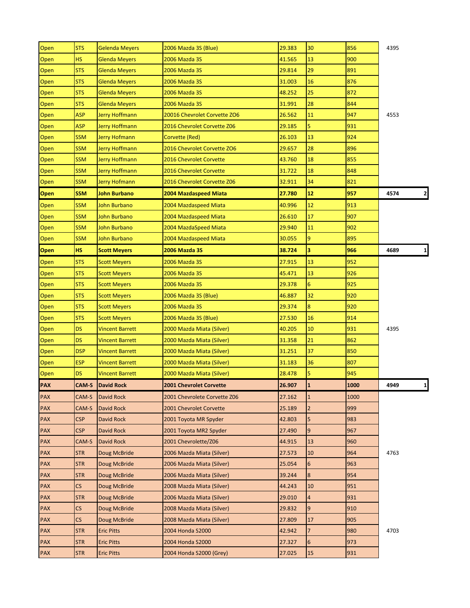| Open        | <b>STS</b> | <b>Gelenda Meyers</b>   | 2006 Mazda 3S (Blue)         | 29.383 | 30                      | 856  | 4395                 |
|-------------|------------|-------------------------|------------------------------|--------|-------------------------|------|----------------------|
| Open        | <b>HS</b>  | Glenda Meyers           | 2006 Mazda 3S                | 41.565 | 13                      | 900  |                      |
| Open        | <b>STS</b> | Glenda Meyers           | 2006 Mazda 3S                | 29.814 | 29                      | 891  |                      |
| Open        | <b>STS</b> | Glenda Meyers           | 2006 Mazda 3S                | 31.003 | 16                      | 876  |                      |
| Open        | <b>STS</b> | Glenda Meyers           | 2006 Mazda 3S                | 48.252 | 25                      | 872  |                      |
| Open        | <b>STS</b> | <b>Glenda Meyers</b>    | 2006 Mazda 3S                | 31.991 | 28                      | 844  |                      |
| Open        | <b>ASP</b> | <b>Jerry Hoffmann</b>   | 20016 Chevrolet Corvette ZO6 | 26.562 | 11                      | 947  | 4553                 |
| Open        | ASP        | <b>Jerry Hoffmann</b>   | 2016 Chevrolet Corvette Z06  | 29.185 | 5                       | 931  |                      |
| Open        | <b>SSM</b> | Jerry Hofmann           | Corvette (Red)               | 26.103 | 13                      | 924  |                      |
| Open        | <b>SSM</b> | Jerry Hoffmann          | 2016 Chevrolet Corvette ZO6  | 29.657 | 28                      | 896  |                      |
| Open        | <b>SSM</b> | Jerry Hoffmann          | 2016 Chevrolet Corvette      | 43.760 | 18                      | 855  |                      |
| Open        | <b>SSM</b> | Jerry Hoffmann          | 2016 Chevrolet Corvette      | 31.722 | 18                      | 848  |                      |
| Open        | <b>SSM</b> | Jerry Hofmann           | 2016 Chevrolet Corvette Z06  | 32.911 | 34                      | 821  |                      |
| <b>Open</b> | <b>SSM</b> | <b>John Burbano</b>     | 2004 Mazdaspeed Miata        | 27.780 | 12                      | 957  | $\mathbf{2}$<br>4574 |
| Open        | <b>SSM</b> | John Burbano            | 2004 Mazdaspeed Miata        | 40.996 | 12                      | 913  |                      |
| Open        | <b>SSM</b> | <b>John Burbano</b>     | 2004 Mazdaspeed Miata        | 26.610 | 17                      | 907  |                      |
| Open        | <b>SSM</b> | <b>John Burbano</b>     | 2004 MazdaSpeed Miata        | 29.940 | 11                      | 902  |                      |
| Open        | <b>SSM</b> | John Burbano            | 2004 Mazdaspeed Miata        | 30.055 | 9                       | 895  |                      |
| Open        | <b>HS</b>  | <b>Scott Meyers</b>     | <b>2006 Mazda 3S</b>         | 38.724 | 3                       | 966  | $\mathbf{1}$<br>4689 |
| Open        | <b>STS</b> | <b>Scott Meyers</b>     | 2006 Mazda 3S                | 27.915 | 13                      | 952  |                      |
| Open        | <b>STS</b> | <b>Scott Meyers</b>     | 2006 Mazda 3S                | 45.471 | 13                      | 926  |                      |
| Open        | <b>STS</b> | <b>Scott Meyers</b>     | 2006 Mazda 3S                | 29.378 | 6                       | 925  |                      |
| Open        | <b>STS</b> | <b>Scott Meyers</b>     | 2006 Mazda 3S (Blue)         | 46.887 | 32                      | 920  |                      |
| Open        | <b>STS</b> | <b>Scott Meyers</b>     | 2006 Mazda 3S                | 29.374 | 8                       | 920  |                      |
| Open        | <b>STS</b> | <b>Scott Meyers</b>     | 2006 Mazda 3S (Blue)         | 27.530 | 16                      | 914  |                      |
| Open        | <b>DS</b>  | <b>Vincent Barrett</b>  | 2000 Mazda Miata (Silver)    | 40.205 | 10                      | 931  | 4395                 |
| Open        | <b>DS</b>  | <b>Vincent Barrett</b>  | 2000 Mazda Miata (Silver)    | 31.358 | 21                      | 862  |                      |
| Open        | <b>DSP</b> | <b>Vincent Barrett</b>  | 2000 Mazda Miata (Silver)    | 31.251 | 37                      | 850  |                      |
| Open        | <b>ESP</b> | <b>Vincent Barrett</b>  | 2000 Mazda Miata (Silver)    | 31.183 | 36                      | 807  |                      |
| Open        | <b>DS</b>  | <b>Vincent Barrett</b>  | 2000 Mazda Miata (Silver)    | 28.478 | 5                       | 945  |                      |
| PAX         |            | <b>CAM-S</b> David Rock | 2001 Chevrolet Corvette      | 26.907 | $\overline{\mathbf{1}}$ | 1000 | 4949                 |
| <b>PAX</b>  | CAM-S      | David Rock              | 2001 Chevrolete Corvette Z06 | 27.162 | $\mathbf{1}$            | 1000 |                      |
| PAX         | CAM-S      | David Rock              | 2001 Chevrolet Corvette      | 25.189 | $\overline{2}$          | 999  |                      |
| PAX         | <b>CSP</b> | <b>David Rock</b>       | 2001 Toyota MR Spyder        | 42.803 | 5                       | 983  |                      |
| <b>PAX</b>  | <b>CSP</b> | <b>David Rock</b>       | 2001 Toyota MR2 Spyder       | 27.490 | 9                       | 967  |                      |
| <b>PAX</b>  | CAM-S      | David Rock              | 2001 Chevrolette/Z06         | 44.915 | 13                      | 960  |                      |
| <b>PAX</b>  | <b>STR</b> | Doug McBride            | 2006 Mazda Miata (Silver)    | 27.573 | 10                      | 964  | 4763                 |
| <b>PAX</b>  | <b>STR</b> | Doug McBride            | 2006 Mazda Miata (Silver)    | 25.054 | 6                       | 963  |                      |
| <b>PAX</b>  | STR        | Doug McBride            | 2006 Mazda Miata (Silver)    | 39.244 | 8                       | 954  |                      |
| <b>PAX</b>  | CS         | Doug McBride            | 2008 Mazda Miata (Silver)    | 44.243 | 10                      | 951  |                      |
| <b>PAX</b>  | <b>STR</b> | Doug McBride            | 2006 Mazda Miata (Silver)    | 29.010 | 4                       | 931  |                      |
| PAX         | CS         | Doug McBride            | 2008 Mazda Miata (Silver)    | 29.832 | 9                       | 910  |                      |
| <b>PAX</b>  | CS         | Doug McBride            | 2008 Mazda Miata (Silver)    | 27.809 | 17                      | 905  |                      |
| <b>PAX</b>  | <b>STR</b> | <b>Eric Pitts</b>       | 2004 Honda S2000             | 42.942 | $\overline{7}$          | 980  | 4703                 |
| <b>PAX</b>  | <b>STR</b> | <b>Eric Pitts</b>       | 2004 Honda S2000             | 27.327 | 6                       | 973  |                      |
| PAX         | STR        | <b>Eric Pitts</b>       | 2004 Honda S2000 (Grey)      | 27.025 | 15                      | 931  |                      |
|             |            |                         |                              |        |                         |      |                      |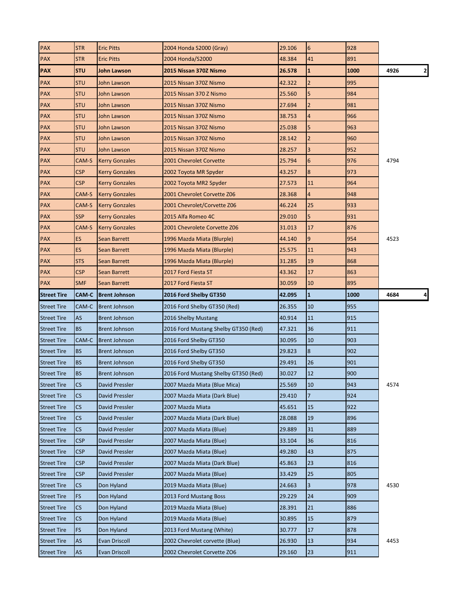| PAX                                      | <b>STR</b>                            | <b>Eric Pitts</b>                            | 2004 Honda S2000 (Gray)                                       | 29.106           | 6                    | 928        |                      |
|------------------------------------------|---------------------------------------|----------------------------------------------|---------------------------------------------------------------|------------------|----------------------|------------|----------------------|
| <b>PAX</b>                               | <b>STR</b>                            | <b>Eric Pitts</b>                            | 2004 Honda/S2000                                              | 48.384           | 41                   | 891        |                      |
| <b>PAX</b>                               | <b>STU</b>                            | John Lawson                                  | 2015 Nissan 370Z Nismo                                        | 26.578           | 1                    | 1000       | $\mathbf{z}$<br>4926 |
| <b>PAX</b>                               | STU                                   | John Lawson                                  | 2015 Nissan 370Z Nismo                                        | 42.322           | $\overline{2}$       | 995        |                      |
| <b>PAX</b>                               | <b>STU</b>                            | John Lawson                                  | 2015 Nissan 370 Z Nismo                                       | 25.560           | 5                    | 984        |                      |
| <b>PAX</b>                               | <b>STU</b>                            | John Lawson                                  | 2015 Nissan 370Z Nismo                                        | 27.694           | $\overline{2}$       | 981        |                      |
| <b>PAX</b>                               | STU                                   | John Lawson                                  | 2015 Nissan 370Z Nismo                                        | 38.753           | 4                    | 966        |                      |
| <b>PAX</b>                               | <b>STU</b>                            | John Lawson                                  | 2015 Nissan 370Z Nismo                                        | 25.038           | 5                    | 963        |                      |
| <b>PAX</b>                               | <b>STU</b>                            | John Lawson                                  | 2015 Nissan 370Z Nismo                                        | 28.142           | $\overline{2}$       | 960        |                      |
| <b>PAX</b>                               | <b>STU</b>                            | John Lawson                                  | 2015 Nissan 370Z Nismo                                        | 28.257           | 3                    | 952        |                      |
| <b>PAX</b>                               | CAM-S                                 | <b>Kerry Gonzales</b>                        | 2001 Chevrolet Corvette                                       | 25.794           | 6                    | 976        | 4794                 |
| <b>PAX</b>                               | <b>CSP</b>                            | <b>Kerry Gonzales</b>                        | 2002 Toyota MR Spyder                                         | 43.257           | 8                    | 973        |                      |
| <b>PAX</b>                               | <b>CSP</b>                            | <b>Kerry Gonzales</b>                        | 2002 Toyota MR2 Spyder                                        | 27.573           | 11                   | 964        |                      |
| <b>PAX</b>                               | CAM-S                                 | <b>Kerry Gonzales</b>                        | 2001 Chevrolet Corvette Z06                                   | 28.368           | 4                    | 948        |                      |
| <b>PAX</b>                               | CAM-S                                 | <b>Kerry Gonzales</b>                        | 2001 Chevrolet/Corvette Z06                                   | 46.224           | 25                   | 933        |                      |
| <b>PAX</b>                               | <b>SSP</b>                            | <b>Kerry Gonzales</b>                        | 2015 Alfa Romeo 4C                                            | 29.010           | 5                    | 931        |                      |
| <b>PAX</b>                               | CAM-S                                 | <b>Kerry Gonzales</b>                        | 2001 Chevrolete Corvette Z06                                  | 31.013           | 17                   | 876        |                      |
| <b>PAX</b>                               | ES.                                   | <b>Sean Barrett</b>                          | 1996 Mazda Miata (Blurple)                                    | 44.140           | 9                    | 954        | 4523                 |
| <b>PAX</b>                               | ES.                                   | Sean Barrett                                 | 1996 Mazda Miata (Blurple)                                    | 25.575           | 11                   | 943        |                      |
| <b>PAX</b>                               | <b>STS</b>                            | Sean Barrett                                 | 1996 Mazda Miata (Blurple)                                    | 31.285           | 19                   | 868        |                      |
| <b>PAX</b>                               | <b>CSP</b>                            | Sean Barrett                                 | 2017 Ford Fiesta ST                                           | 43.362           | 17                   | 863        |                      |
| <b>PAX</b>                               | <b>SMF</b>                            | <b>Sean Barrett</b>                          | 2017 Ford Fiesta ST                                           | 30.059           | 10                   | 895        |                      |
| <b>Street Tire</b>                       | CAM-C                                 | <b>Brent Johnson</b>                         | 2016 Ford Shelby GT350                                        | 42.095           | $\mathbf{1}$         | 1000       | 4684<br>4            |
|                                          |                                       |                                              |                                                               |                  |                      |            |                      |
|                                          |                                       |                                              |                                                               |                  |                      |            |                      |
| <b>Street Tire</b>                       | CAM-C<br>AS                           | <b>Brent Johnson</b><br><b>Brent Johnson</b> | 2016 Ford Shelby GT350 (Red)                                  | 26.355<br>40.914 | 10<br>11             | 955<br>915 |                      |
| <b>Street Tire</b><br><b>Street Tire</b> | <b>BS</b>                             | <b>Brent Johnson</b>                         | 2016 Shelby Mustang                                           | 47.321           | 36                   | 911        |                      |
| <b>Street Tire</b>                       | CAM-C                                 | <b>Brent Johnson</b>                         | 2016 Ford Mustang Shelby GT350 (Red)                          | 30.095           | 10                   | 903        |                      |
| <b>Street Tire</b>                       | <b>BS</b>                             | <b>Brent Johnson</b>                         | 2016 Ford Shelby GT350<br>2016 Ford Shelby GT350              | 29.823           | 8                    | 902        |                      |
| <b>Street Tire</b>                       | <b>BS</b>                             | <b>Brent Johnson</b>                         |                                                               | 29.491           | 26                   | 901        |                      |
|                                          | <b>BS</b>                             | <b>Brent Johnson</b>                         | 2016 Ford Shelby GT350                                        | 30.027           | 12                   | 900        |                      |
| <b>Street Tire</b>                       |                                       |                                              | 2016 Ford Mustang Shelby GT350 (Red)                          |                  |                      |            |                      |
| Street Tire                              | $\mathsf{CS}\phantom{.}$<br>CS.       | David Pressler<br>David Pressler             | 2007 Mazda Miata (Blue Mica)<br>2007 Mazda Miata (Dark Blue)  | 25.569<br>29.410 | 10<br>$\overline{7}$ | 943<br>924 | 4574                 |
| <b>Street Tire</b>                       |                                       | David Pressler                               | 2007 Mazda Miata                                              | 45.651           | 15                   | 922        |                      |
| <b>Street Tire</b>                       | <b>CS</b><br>$\mathsf{CS}\phantom{.}$ | David Pressler                               | 2007 Mazda Miata (Dark Blue)                                  | 28.088           | 19                   | 896        |                      |
| <b>Street Tire</b>                       | $\mathsf{CS}\phantom{0}$              | David Pressler                               | 2007 Mazda Miata (Blue)                                       | 29.889           | 31                   | 889        |                      |
| <b>Street Tire</b>                       |                                       |                                              |                                                               |                  |                      |            |                      |
| <b>Street Tire</b>                       | <b>CSP</b><br>CSP                     | David Pressler<br>David Pressler             | 2007 Mazda Miata (Blue)<br>2007 Mazda Miata (Blue)            | 33.104<br>49.280 | 36<br>43             | 816<br>875 |                      |
| <b>Street Tire</b>                       |                                       |                                              |                                                               |                  |                      |            |                      |
| <b>Street Tire</b>                       | $\mathsf{CSP}$                        | David Pressler                               | 2007 Mazda Miata (Dark Blue)                                  | 45.863           | 23                   | 816        |                      |
| <b>Street Tire</b>                       | $\mathsf{CSP}$                        | David Pressler                               | 2007 Mazda Miata (Blue)                                       | 33.429           | 25                   | 805        |                      |
| <b>Street Tire</b>                       | CS                                    | Don Hyland                                   | 2019 Mazda Miata (Blue)                                       | 24.663           | 3                    | 978        | 4530                 |
| <b>Street Tire</b>                       | FS                                    | Don Hyland                                   | 2013 Ford Mustang Boss                                        | 29.229           | 24                   | 909        |                      |
| <b>Street Tire</b>                       | $\mathsf{CS}\phantom{0}$              | Don Hyland                                   | 2019 Mazda Miata (Blue)                                       | 28.391           | 21                   | 886        |                      |
| <b>Street Tire</b>                       | $\mathsf{CS}\phantom{.}$              | Don Hyland                                   | 2019 Mazda Miata (Blue)                                       | 30.895           | 15                   | 879        |                      |
| <b>Street Tire</b>                       | FS                                    | Don Hyland                                   | 2013 Ford Mustang (White)                                     | 30.777           | 17                   | 878        |                      |
| <b>Street Tire</b><br><b>Street Tire</b> | AS<br>AS                              | <b>Evan Driscoll</b><br><b>Evan Driscoll</b> | 2002 Chevrolet corvette (Blue)<br>2002 Chevrolet Corvette ZO6 | 26.930<br>29.160 | 13<br>23             | 934<br>911 | 4453                 |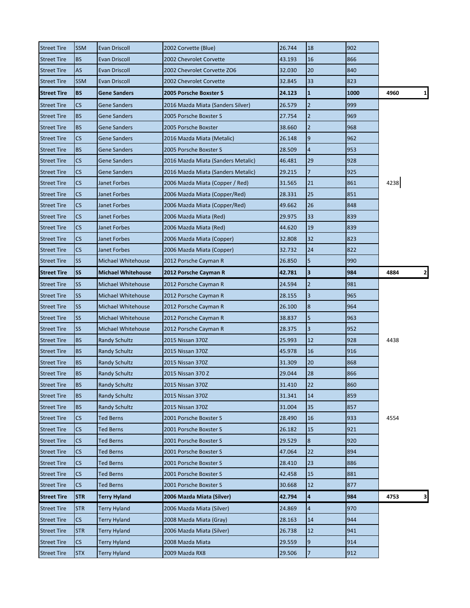| <b>Street Tire</b> | <b>SSM</b>               | <b>Evan Driscoll</b>      | 2002 Corvette (Blue)               | 26.744 | 18                      | 902  |                      |
|--------------------|--------------------------|---------------------------|------------------------------------|--------|-------------------------|------|----------------------|
| <b>Street Tire</b> | <b>BS</b>                | Evan Driscoll             | 2002 Chevrolet Corvette            | 43.193 | 16                      | 866  |                      |
| <b>Street Tire</b> | AS                       | Evan Driscoll             | 2002 Chevrolet Corvette ZO6        | 32.030 | 20                      | 840  |                      |
| <b>Street Tire</b> | <b>SSM</b>               | <b>Evan Driscoll</b>      | 2002 Chevrolet Corvette            | 32.845 | 33                      | 823  |                      |
| <b>Street Tire</b> | <b>BS</b>                | <b>Gene Sanders</b>       | 2005 Porsche Boxster S             | 24.123 | $\mathbf{1}$            | 1000 | 4960<br>$\mathbf{1}$ |
| <b>Street Tire</b> | CS                       | Gene Sanders              | 2016 Mazda Miata (Sanders Silver)  | 26.579 | $\overline{2}$          | 999  |                      |
| <b>Street Tire</b> | <b>BS</b>                | Gene Sanders              | 2005 Porsche Boxster S             | 27.754 | 2                       | 969  |                      |
| <b>Street Tire</b> | <b>BS</b>                | Gene Sanders              | 2005 Porsche Boxster               | 38.660 | $\overline{2}$          | 968  |                      |
| <b>Street Tire</b> | $\mathsf{CS}\phantom{0}$ | Gene Sanders              | 2016 Mazda Miata (Metalic)         | 26.148 | 9                       | 962  |                      |
| <b>Street Tire</b> | <b>BS</b>                | <b>Gene Sanders</b>       | 2005 Porsche Boxster S             | 28.509 | 4                       | 953  |                      |
| <b>Street Tire</b> | $\mathsf{CS}\phantom{0}$ | Gene Sanders              | 2016 Mazda Miata (Sanders Metalic) | 46.481 | 29                      | 928  |                      |
| <b>Street Tire</b> | CS                       | Gene Sanders              | 2016 Mazda Miata (Sanders Metalic) | 29.215 | 7                       | 925  |                      |
| <b>Street Tire</b> | $\mathsf{CS}\phantom{0}$ | Janet Forbes              | 2006 Mazda Miata (Copper / Red)    | 31.565 | 21                      | 861  | 4238                 |
| <b>Street Tire</b> | CS                       | Janet Forbes              | 2006 Mazda Miata (Copper/Red)      | 28.331 | 25                      | 851  |                      |
| <b>Street Tire</b> | CS                       | Janet Forbes              | 2006 Mazda Miata (Copper/Red)      | 49.662 | 26                      | 848  |                      |
| <b>Street Tire</b> | $\mathsf{CS}\phantom{0}$ | Janet Forbes              | 2006 Mazda Miata (Red)             | 29.975 | 33                      | 839  |                      |
| <b>Street Tire</b> | CS                       | Janet Forbes              | 2006 Mazda Miata (Red)             | 44.620 | 19                      | 839  |                      |
| <b>Street Tire</b> | $\mathsf{CS}\phantom{0}$ | Janet Forbes              | 2006 Mazda Miata (Copper)          | 32.808 | 32                      | 823  |                      |
| <b>Street Tire</b> | CS                       | Janet Forbes              | 2006 Mazda Miata (Copper)          | 32.732 | 24                      | 822  |                      |
| <b>Street Tire</b> | SS                       | <b>Michael Whitehouse</b> | 2012 Porsche Cayman R              | 26.850 | 5                       | 990  |                      |
| <b>Street Tire</b> | <b>SS</b>                | <b>Michael Whitehouse</b> | 2012 Porsche Cayman R              | 42.781 | 3                       | 984  | 4884<br>2            |
| <b>Street Tire</b> | <b>SS</b>                | Michael Whitehouse        | 2012 Porsche Cayman R              | 24.594 | $\overline{2}$          | 981  |                      |
| <b>Street Tire</b> | <b>SS</b>                | Michael Whitehouse        | 2012 Porsche Cayman R              | 28.155 | 3                       | 965  |                      |
| <b>Street Tire</b> | SS                       | Michael Whitehouse        | 2012 Porsche Cayman R              | 26.100 | 8                       | 964  |                      |
| <b>Street Tire</b> | SS                       | Michael Whitehouse        | 2012 Porsche Cayman R              | 38.837 | 5                       | 963  |                      |
| <b>Street Tire</b> | SS                       | Michael Whitehouse        | 2012 Porsche Cayman R              | 28.375 | 3                       | 952  |                      |
| <b>Street Tire</b> | <b>BS</b>                | <b>Randy Schultz</b>      | 2015 Nissan 370Z                   | 25.993 | 12                      | 928  | 4438                 |
| <b>Street Tire</b> | <b>BS</b>                | <b>Randy Schultz</b>      | 2015 Nissan 370Z                   | 45.978 | 16                      | 916  |                      |
| <b>Street Tire</b> | <b>BS</b>                | <b>Randy Schultz</b>      | 2015 Nissan 370Z                   | 31.309 | 20                      | 868  |                      |
| <b>Street Tire</b> | <b>BS</b>                | Randy Schultz             | 2015 Nissan 370 Z                  | 29.044 | 28                      | 866  |                      |
| <b>Street Tire</b> | <b>BS</b>                | <b>Randy Schultz</b>      | 2015 Nissan 370Z                   | 31.410 | 22                      | 860  |                      |
| <b>Street Tire</b> | <b>BS</b>                | <b>Randy Schultz</b>      | 2015 Nissan 370Z                   | 31.341 | 14                      | 859  |                      |
| <b>Street Tire</b> | <b>BS</b>                | <b>Randy Schultz</b>      | 2015 Nissan 370Z                   | 31.004 | 35                      | 857  |                      |
| <b>Street Tire</b> | $\mathsf{CS}\phantom{0}$ | <b>Ted Berns</b>          | 2001 Porsche Boxster S             | 28.490 | 16                      | 933  | 4554                 |
| <b>Street Tire</b> | CS.                      | <b>Ted Berns</b>          | 2001 Porsche Boxster S             | 26.182 | 15                      | 921  |                      |
| <b>Street Tire</b> | CS                       | <b>Ted Berns</b>          | 2001 Porsche Boxster S             | 29.529 | 8                       | 920  |                      |
| <b>Street Tire</b> | CS                       | <b>Ted Berns</b>          | 2001 Porsche Boxster S             | 47.064 | 22                      | 894  |                      |
| <b>Street Tire</b> | CS                       | <b>Ted Berns</b>          | 2001 Porsche Boxster S             | 28.410 | 23                      | 886  |                      |
| <b>Street Tire</b> | CS                       | <b>Ted Berns</b>          | 2001 Porsche Boxster S             | 42.458 | 15                      | 881  |                      |
| <b>Street Tire</b> | CS                       | Ted Berns                 | 2001 Porsche Boxster S             | 30.668 | 12                      | 877  |                      |
| <b>Street Tire</b> | <b>STR</b>               | <b>Terry Hyland</b>       | 2006 Mazda Miata (Silver)          | 42.794 | $\overline{\mathbf{a}}$ | 984  | 4753<br>3            |
| <b>Street Tire</b> | <b>STR</b>               | <b>Terry Hyland</b>       | 2006 Mazda Miata (Silver)          | 24.869 | 4                       | 970  |                      |
| <b>Street Tire</b> | CS                       | Terry Hyland              | 2008 Mazda Miata (Gray)            | 28.163 | 14                      | 944  |                      |
| <b>Street Tire</b> | <b>STR</b>               | Terry Hyland              | 2006 Mazda Miata (Silver)          | 26.738 | 12                      | 941  |                      |
| <b>Street Tire</b> | CS                       | <b>Terry Hyland</b>       | 2008 Mazda Miata                   | 29.559 | 9                       | 914  |                      |
| <b>Street Tire</b> | <b>STX</b>               | Terry Hyland              | 2009 Mazda RX8                     | 29.506 | 7                       | 912  |                      |